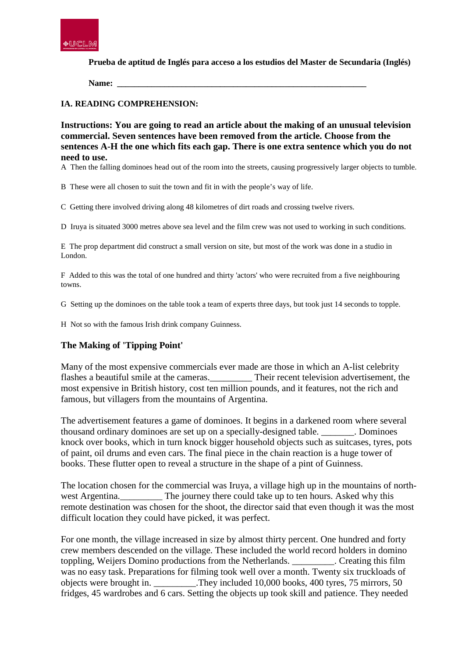

**Prueba de aptitud de Inglés para acceso a los estudios del Master de Secundaria (Inglés)**

**Name: \_\_\_\_\_\_\_\_\_\_\_\_\_\_\_\_\_\_\_\_\_\_\_\_\_\_\_\_\_\_\_\_\_\_\_\_\_\_\_\_\_\_\_\_\_\_\_\_\_\_\_\_\_\_\_\_\_\_**

### **IA. READING COMPREHENSION:**

**Instructions: You are going to read an article about the making of an unusual television commercial. Seven sentences have been removed from the article. Choose from the sentences A-H the one which fits each gap. There is one extra sentence which you do not need to use.**

A Then the falling dominoes head out of the room into the streets, causing progressively larger objects to tumble.

B These were all chosen to suit the town and fit in with the people's way of life.

C Getting there involved driving along 48 kilometres of dirt roads and crossing twelve rivers.

D Iruya is situated 3000 metres above sea level and the film crew was not used to working in such conditions.

E The prop department did construct a small version on site, but most of the work was done in a studio in London.

F Added to this was the total of one hundred and thirty 'actors' who were recruited from a five neighbouring towns.

G Setting up the dominoes on the table took a team of experts three days, but took just 14 seconds to topple.

H Not so with the famous Irish drink company Guinness.

# **The Making of 'Tipping Point'**

Many of the most expensive commercials ever made are those in which an A-list celebrity flashes a beautiful smile at the cameras. Their recent television advertisement, the most expensive in British history, cost ten million pounds, and it features, not the rich and famous, but villagers from the mountains of Argentina.

The advertisement features a game of dominoes. It begins in a darkened room where several thousand ordinary dominoes are set up on a specially-designed table. \_\_\_\_\_\_\_. Dominoes knock over books, which in turn knock bigger household objects such as suitcases, tyres, pots of paint, oil drums and even cars. The final piece in the chain reaction is a huge tower of books. These flutter open to reveal a structure in the shape of a pint of Guinness.

The location chosen for the commercial was Iruya, a village high up in the mountains of northwest Argentina. The journey there could take up to ten hours. Asked why this remote destination was chosen for the shoot, the director said that even though it was the most difficult location they could have picked, it was perfect.

For one month, the village increased in size by almost thirty percent. One hundred and forty crew members descended on the village. These included the world record holders in domino toppling, Weijers Domino productions from the Netherlands. \_\_\_\_\_\_\_\_\_. Creating this film was no easy task. Preparations for filming took well over a month. Twenty six truckloads of objects were brought in. \_\_\_\_\_\_\_\_\_.They included 10,000 books, 400 tyres, 75 mirrors, 50 fridges, 45 wardrobes and 6 cars. Setting the objects up took skill and patience. They needed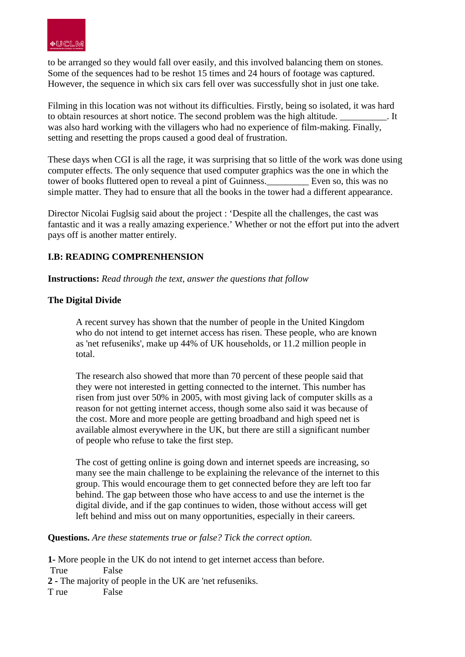

to be arranged so they would fall over easily, and this involved balancing them on stones. Some of the sequences had to be reshot 15 times and 24 hours of footage was captured. However, the sequence in which six cars fell over was successfully shot in just one take.

Filming in this location was not without its difficulties. Firstly, being so isolated, it was hard to obtain resources at short notice. The second problem was the high altitude. \_\_\_\_\_\_\_\_\_\_. It was also hard working with the villagers who had no experience of film-making. Finally, setting and resetting the props caused a good deal of frustration.

These days when CGI is all the rage, it was surprising that so little of the work was done using computer effects. The only sequence that used computer graphics was the one in which the tower of books fluttered open to reveal a pint of Guinness.\_\_\_\_\_\_\_\_\_ Even so, this was no simple matter. They had to ensure that all the books in the tower had a different appearance.

Director Nicolai Fuglsig said about the project : 'Despite all the challenges, the cast was fantastic and it was a really amazing experience.' Whether or not the effort put into the advert pays off is another matter entirely.

# **I.B: READING COMPRENHENSION**

**Instructions:** *Read through the text, answer the questions that follow*

## **The Digital Divide**

A recent survey has shown that the number of people in the United Kingdom who do not intend to get internet access has risen. These people, who are known as 'net refuseniks', make up 44% of UK households, or 11.2 million people in total.

The research also showed that more than 70 percent of these people said that they were not interested in getting connected to the internet. This number has risen from just over 50% in 2005, with most giving lack of computer skills as a reason for not getting internet access, though some also said it was because of the cost. More and more people are getting broadband and high speed net is available almost everywhere in the UK, but there are still a significant number of people who refuse to take the first step.

The cost of getting online is going down and internet speeds are increasing, so many see the main challenge to be explaining the relevance of the internet to this group. This would encourage them to get connected before they are left too far behind. The gap between those who have access to and use the internet is the digital divide, and if the gap continues to widen, those without access will get left behind and miss out on many opportunities, especially in their careers.

**Questions.** *Are these statements true or false? Tick the correct option.*

**1-** More people in the UK do not intend to get internet access than before. True False **2 -** The majority of people in the UK are 'net refuseniks.T rue False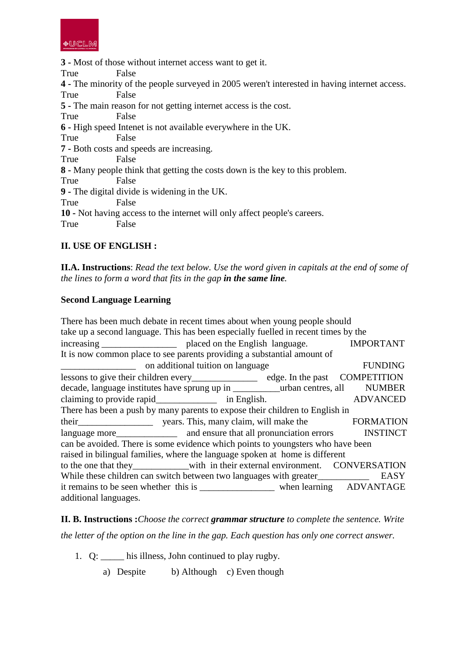

**3 -** Most of those without internet access want to get it. True False **4 -** The minority of the people surveyed in 2005 weren't interested in having internet access. True False **5 -** The main reason for not getting internet access is the cost. True False **6 -** High speed Intenet is not available everywhere in the UK. True False **7 -** Both costs and speeds are increasing. True False **8 -** Many people think that getting the costs down is the key to this problem. True False **9 -** The digital divide is widening in the UK. True False **10 -** Not having access to the internet will only affect people's careers. True False

# **II. USE OF ENGLISH :**

**II.A. Instructions**: *Read the text below. Use the word given in capitals at the end of some of the lines to form a word that fits in the gap in the same line.*

### **Second Language Learning**

There has been much debate in recent times about when young people should take up a second language. This has been especially fuelled in recent times by the increasing blaced on the English language. IMPORTANT It is now common place to see parents providing a substantial amount of on additional tuition on language FUNDING lessons to give their children every\_\_\_\_\_\_\_\_\_\_\_\_\_\_ edge. In the past COMPETITION decade, language institutes have sprung up in \_\_\_\_\_\_\_\_\_\_\_\_\_urban centres, all MUMBER claiming to provide rapid\_\_\_\_\_\_\_\_\_\_\_\_\_ in English. ADVANCED There has been a push by many parents to expose their children to English in their\_\_\_\_\_\_\_\_\_\_\_\_\_\_\_\_ years. This, many claim, will make the FORMATION language more and ensure that all pronunciation errors INSTINCT can be avoided. There is some evidence which points to youngsters who have been raised in bilingual families, where the language spoken at home is different to the one that they with in their external environment. CONVERSATION While these children can switch between two languages with greater EASY it remains to be seen whether this is \_\_\_\_\_\_\_\_\_\_\_\_\_\_\_\_\_\_\_\_\_\_\_ when learning ADVANTAGE additional languages.

**II. B. Instructions :***Choose the correct grammar structure to complete the sentence. Write the letter of the option on the line in the gap. Each question has only one correct answer.* 

- 1. Q: \_\_\_\_\_ his illness, John continued to play rugby.
	- a) Despite b) Although c) Even though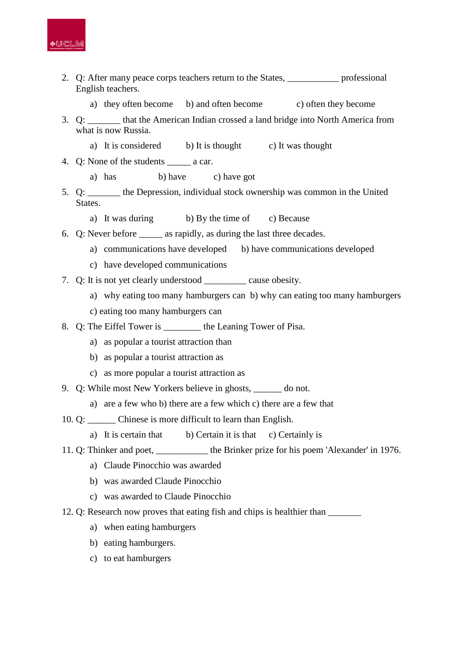

- 2. Q: After many peace corps teachers return to the States, \_\_\_\_\_\_\_\_\_\_\_ professional English teachers.
	- a) they often become b) and often become c) often they become
- 3. Q: \_\_\_\_\_\_\_ that the American Indian crossed a land bridge into North America from what is now Russia.
	- a) It is considered b) It is thought c) It was thought
- 4. Q: None of the students \_\_\_\_\_\_ a car.
	- a) has b) have c) have got
- 5. Q: \_\_\_\_\_\_\_ the Depression, individual stock ownership was common in the United States.
	- a) It was during b) By the time of c) Because
- 6. Q: Never before \_\_\_\_\_ as rapidly, as during the last three decades.
	- a) communications have developed b) have communications developed
	- c) have developed communications
- 7. Q: It is not yet clearly understood \_\_\_\_\_\_\_\_\_ cause obesity.
	- a) why eating too many hamburgers can b) why can eating too many hamburgers
	- c) eating too many hamburgers can
- 8. Q: The Eiffel Tower is \_\_\_\_\_\_\_\_ the Leaning Tower of Pisa.
	- a) as popular a tourist attraction than
	- b) as popular a tourist attraction as
	- c) as more popular a tourist attraction as
- 9. Q: While most New Yorkers believe in ghosts, do not.
	- a) are a few who b) there are a few which c) there are a few that
- 10. Q: \_\_\_\_\_\_ Chinese is more difficult to learn than English.
	- a) It is certain that b) Certain it is that c) Certainly is
- 11. Q: Thinker and poet, \_\_\_\_\_\_\_\_\_\_\_ the Brinker prize for his poem 'Alexander' in 1976.
	- a) Claude Pinocchio was awarded
	- b) was awarded Claude Pinocchio
	- c) was awarded to Claude Pinocchio
- 12. Q: Research now proves that eating fish and chips is healthier than
	- a) when eating hamburgers
	- b) eating hamburgers.
	- c) to eat hamburgers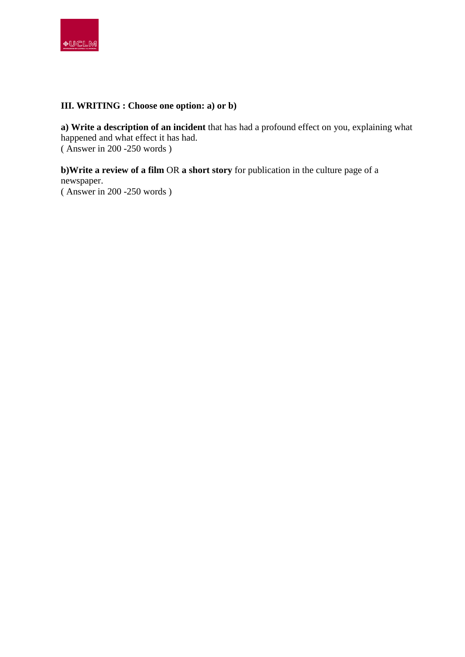

# **III. WRITING : Choose one option: a) or b)**

**a) Write a description of an incident** that has had a profound effect on you, explaining what happened and what effect it has had. ( Answer in 200 -250 words )

**b)Write a review of a film** OR **a short story** for publication in the culture page of a newspaper. ( Answer in 200 -250 words )